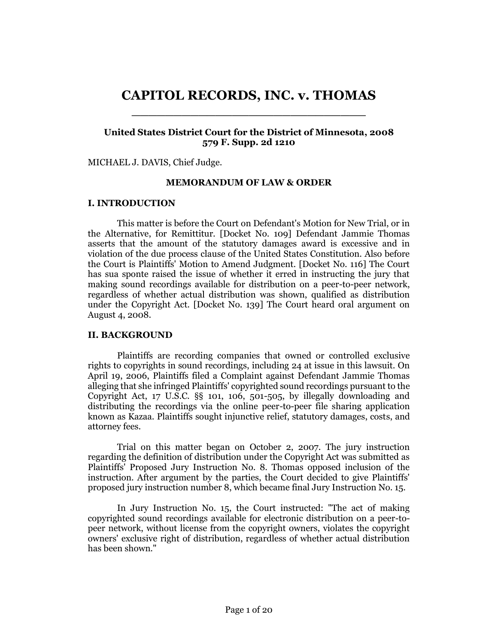# **CAPITOL RECORDS, INC. v. THOMAS** \_\_\_\_\_\_\_\_\_\_\_\_\_\_\_\_\_\_\_\_\_\_\_\_\_\_\_\_

## **United States District Court for the District of Minnesota, 2008 579 F. Supp. 2d 1210**

MICHAEL J. DAVIS, Chief Judge.

#### **MEMORANDUM OF LAW & ORDER**

## **I. INTRODUCTION**

This matter is before the Court on Defendant's Motion for New Trial, or in the Alternative, for Remittitur. [Docket No. 109] Defendant Jammie Thomas asserts that the amount of the statutory damages award is excessive and in violation of the due process clause of the United States Constitution. Also before the Court is Plaintiffs' Motion to Amend Judgment. [Docket No. 116] The Court has sua sponte raised the issue of whether it erred in instructing the jury that making sound recordings available for distribution on a peer-to-peer network, regardless of whether actual distribution was shown, qualified as distribution under the Copyright Act. [Docket No. 139] The Court heard oral argument on August 4, 2008.

## **II. BACKGROUND**

Plaintiffs are recording companies that owned or controlled exclusive rights to copyrights in sound recordings, including 24 at issue in this lawsuit. On April 19, 2006, Plaintiffs filed a Complaint against Defendant Jammie Thomas alleging that she infringed Plaintiffs' copyrighted sound recordings pursuant to the Copyright Act, 17 U.S.C. §§ 101, 106, 501-505, by illegally downloading and distributing the recordings via the online peer-to-peer file sharing application known as Kazaa. Plaintiffs sought injunctive relief, statutory damages, costs, and attorney fees.

Trial on this matter began on October 2, 2007. The jury instruction regarding the definition of distribution under the Copyright Act was submitted as Plaintiffs' Proposed Jury Instruction No. 8. Thomas opposed inclusion of the instruction. After argument by the parties, the Court decided to give Plaintiffs' proposed jury instruction number 8, which became final Jury Instruction No. 15.

In Jury Instruction No. 15, the Court instructed: "The act of making copyrighted sound recordings available for electronic distribution on a peer-topeer network, without license from the copyright owners, violates the copyright owners' exclusive right of distribution, regardless of whether actual distribution has been shown."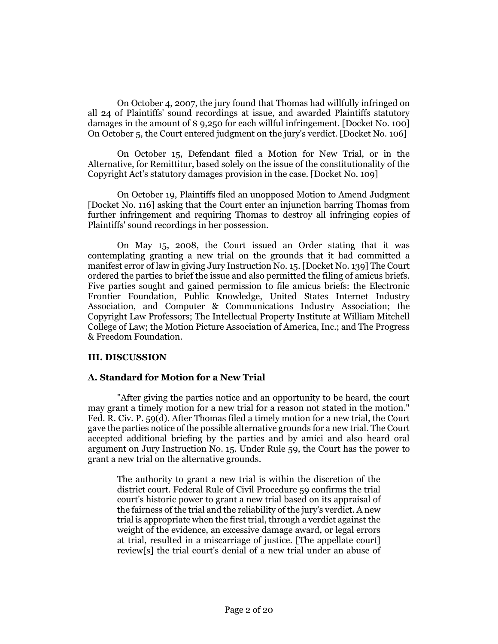On October 4, 2007, the jury found that Thomas had willfully infringed on all 24 of Plaintiffs' sound recordings at issue, and awarded Plaintiffs statutory damages in the amount of \$9,250 for each willful infringement. [Docket No. 100] On October 5, the Court entered judgment on the jury's verdict. [Docket No. 106]

On October 15, Defendant filed a Motion for New Trial, or in the Alternative, for Remittitur, based solely on the issue of the constitutionality of the Copyright Act's statutory damages provision in the case. [Docket No. 109]

On October 19, Plaintiffs filed an unopposed Motion to Amend Judgment [Docket No. 116] asking that the Court enter an injunction barring Thomas from further infringement and requiring Thomas to destroy all infringing copies of Plaintiffs' sound recordings in her possession.

On May 15, 2008, the Court issued an Order stating that it was contemplating granting a new trial on the grounds that it had committed a manifest error of law in giving Jury Instruction No. 15. [Docket No. 139] The Court ordered the parties to brief the issue and also permitted the filing of amicus briefs. Five parties sought and gained permission to file amicus briefs: the Electronic Frontier Foundation, Public Knowledge, United States Internet Industry Association, and Computer & Communications Industry Association; the Copyright Law Professors; The Intellectual Property Institute at William Mitchell College of Law; the Motion Picture Association of America, Inc.; and The Progress & Freedom Foundation.

# **III. DISCUSSION**

# **A. Standard for Motion for a New Trial**

"After giving the parties notice and an opportunity to be heard, the court may grant a timely motion for a new trial for a reason not stated in the motion." Fed. R. Civ. P. 59(d). After Thomas filed a timely motion for a new trial, the Court gave the parties notice of the possible alternative grounds for a new trial. The Court accepted additional briefing by the parties and by amici and also heard oral argument on Jury Instruction No. 15. Under Rule 59, the Court has the power to grant a new trial on the alternative grounds.

The authority to grant a new trial is within the discretion of the district court. Federal Rule of Civil Procedure 59 confirms the trial court's historic power to grant a new trial based on its appraisal of the fairness of the trial and the reliability of the jury's verdict. A new trial is appropriate when the first trial, through a verdict against the weight of the evidence, an excessive damage award, or legal errors at trial, resulted in a miscarriage of justice. [The appellate court] review[s] the trial court's denial of a new trial under an abuse of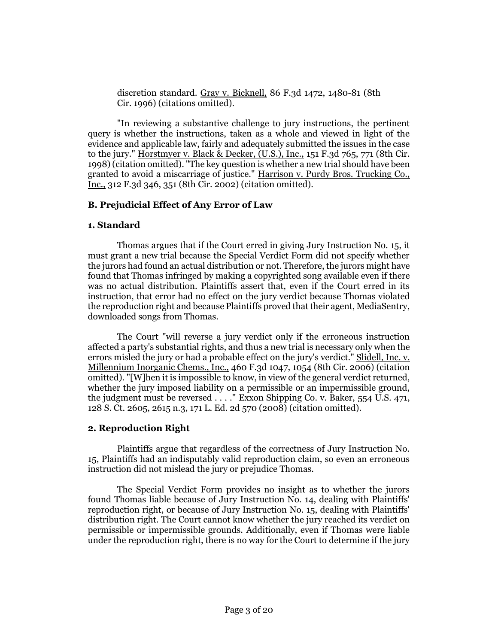discretion standard. Gray v. Bicknell, 86 F.3d 1472, 1480-81 (8th Cir. 1996) (citations omitted).

"In reviewing a substantive challenge to jury instructions, the pertinent query is whether the instructions, taken as a whole and viewed in light of the evidence and applicable law, fairly and adequately submitted the issues in the case to the jury." Horstmyer v. Black & Decker, (U.S.), Inc., 151 F.3d 765, 771 (8th Cir. 1998) (citation omitted). "The key question is whether a new trial should have been granted to avoid a miscarriage of justice." Harrison v. Purdy Bros. Trucking Co., Inc., 312 F.3d 346, 351 (8th Cir. 2002) (citation omitted).

## **B. Prejudicial Effect of Any Error of Law**

## **1. Standard**

Thomas argues that if the Court erred in giving Jury Instruction No. 15, it must grant a new trial because the Special Verdict Form did not specify whether the jurors had found an actual distribution or not. Therefore, the jurors might have found that Thomas infringed by making a copyrighted song available even if there was no actual distribution. Plaintiffs assert that, even if the Court erred in its instruction, that error had no effect on the jury verdict because Thomas violated the reproduction right and because Plaintiffs proved that their agent, MediaSentry, downloaded songs from Thomas.

The Court "will reverse a jury verdict only if the erroneous instruction affected a party's substantial rights, and thus a new trial is necessary only when the errors misled the jury or had a probable effect on the jury's verdict." Slidell, Inc. v. Millennium Inorganic Chems., Inc., 460 F.3d 1047, 1054 (8th Cir. 2006) (citation omitted). "[W]hen it is impossible to know, in view of the general verdict returned, whether the jury imposed liability on a permissible or an impermissible ground, the judgment must be reversed  $\ldots$ ." Exxon Shipping Co. v. Baker, 554 U.S. 471, 128 S. Ct. 2605, 2615 n.3, 171 L. Ed. 2d 570 (2008) (citation omitted).

# **2. Reproduction Right**

Plaintiffs argue that regardless of the correctness of Jury Instruction No. 15, Plaintiffs had an indisputably valid reproduction claim, so even an erroneous instruction did not mislead the jury or prejudice Thomas.

The Special Verdict Form provides no insight as to whether the jurors found Thomas liable because of Jury Instruction No. 14, dealing with Plaintiffs' reproduction right, or because of Jury Instruction No. 15, dealing with Plaintiffs' distribution right. The Court cannot know whether the jury reached its verdict on permissible or impermissible grounds. Additionally, even if Thomas were liable under the reproduction right, there is no way for the Court to determine if the jury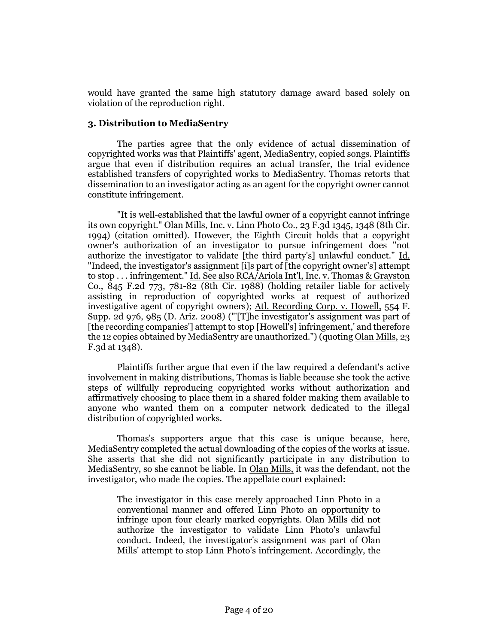would have granted the same high statutory damage award based solely on violation of the reproduction right.

## **3. Distribution to MediaSentry**

The parties agree that the only evidence of actual dissemination of copyrighted works was that Plaintiffs' agent, MediaSentry, copied songs. Plaintiffs argue that even if distribution requires an actual transfer, the trial evidence established transfers of copyrighted works to MediaSentry. Thomas retorts that dissemination to an investigator acting as an agent for the copyright owner cannot constitute infringement.

"It is well-established that the lawful owner of a copyright cannot infringe its own copyright." Olan Mills, Inc. v. Linn Photo Co., 23 F.3d 1345, 1348 (8th Cir. 1994) (citation omitted). However, the Eighth Circuit holds that a copyright owner's authorization of an investigator to pursue infringement does "not authorize the investigator to validate [the third party's] unlawful conduct." Id. "Indeed, the investigator's assignment [i]s part of [the copyright owner's] attempt to stop . . . infringement." Id. See also RCA/Ariola Int'l, Inc. v. Thomas & Grayston Co., 845 F.2d 773, 781-82 (8th Cir. 1988) (holding retailer liable for actively assisting in reproduction of copyrighted works at request of authorized investigative agent of copyright owners); Atl. Recording Corp. v. Howell, 554 F. Supp. 2d 976, 985 (D. Ariz. 2008) ("'[T]he investigator's assignment was part of [the recording companies'] attempt to stop [Howell's] infringement,' and therefore the 12 copies obtained by MediaSentry are unauthorized.") (quoting Olan Mills, 23 F.3d at 1348).

Plaintiffs further argue that even if the law required a defendant's active involvement in making distributions, Thomas is liable because she took the active steps of willfully reproducing copyrighted works without authorization and affirmatively choosing to place them in a shared folder making them available to anyone who wanted them on a computer network dedicated to the illegal distribution of copyrighted works.

Thomas's supporters argue that this case is unique because, here, MediaSentry completed the actual downloading of the copies of the works at issue. She asserts that she did not significantly participate in any distribution to MediaSentry, so she cannot be liable. In Olan Mills, it was the defendant, not the investigator, who made the copies. The appellate court explained:

The investigator in this case merely approached Linn Photo in a conventional manner and offered Linn Photo an opportunity to infringe upon four clearly marked copyrights. Olan Mills did not authorize the investigator to validate Linn Photo's unlawful conduct. Indeed, the investigator's assignment was part of Olan Mills' attempt to stop Linn Photo's infringement. Accordingly, the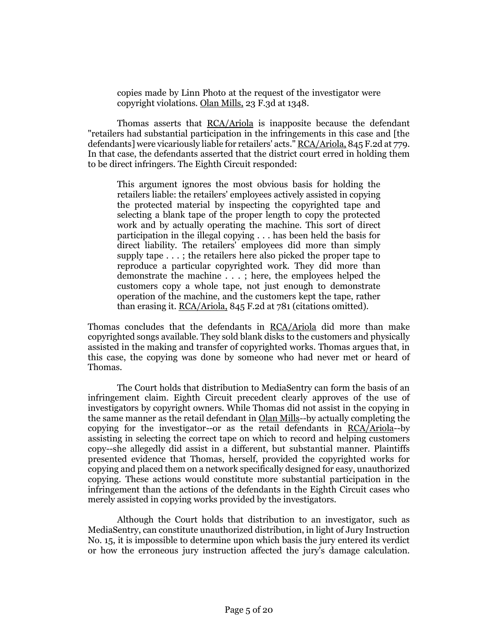copies made by Linn Photo at the request of the investigator were copyright violations. Olan Mills, 23 F.3d at 1348.

Thomas asserts that RCA/Ariola is inapposite because the defendant "retailers had substantial participation in the infringements in this case and [the defendants] were vicariously liable for retailers' acts." RCA/Ariola, 845 F.2d at 779. In that case, the defendants asserted that the district court erred in holding them to be direct infringers. The Eighth Circuit responded:

This argument ignores the most obvious basis for holding the retailers liable: the retailers' employees actively assisted in copying the protected material by inspecting the copyrighted tape and selecting a blank tape of the proper length to copy the protected work and by actually operating the machine. This sort of direct participation in the illegal copying . . . has been held the basis for direct liability. The retailers' employees did more than simply supply tape . . . ; the retailers here also picked the proper tape to reproduce a particular copyrighted work. They did more than demonstrate the machine . . . ; here, the employees helped the customers copy a whole tape, not just enough to demonstrate operation of the machine, and the customers kept the tape, rather than erasing it. RCA/Ariola, 845 F.2d at 781 (citations omitted).

Thomas concludes that the defendants in RCA/Ariola did more than make copyrighted songs available. They sold blank disks to the customers and physically assisted in the making and transfer of copyrighted works. Thomas argues that, in this case, the copying was done by someone who had never met or heard of Thomas.

The Court holds that distribution to MediaSentry can form the basis of an infringement claim. Eighth Circuit precedent clearly approves of the use of investigators by copyright owners. While Thomas did not assist in the copying in the same manner as the retail defendant in Olan Mills--by actually completing the copying for the investigator--or as the retail defendants in RCA/Ariola--by assisting in selecting the correct tape on which to record and helping customers copy--she allegedly did assist in a different, but substantial manner. Plaintiffs presented evidence that Thomas, herself, provided the copyrighted works for copying and placed them on a network specifically designed for easy, unauthorized copying. These actions would constitute more substantial participation in the infringement than the actions of the defendants in the Eighth Circuit cases who merely assisted in copying works provided by the investigators.

Although the Court holds that distribution to an investigator, such as MediaSentry, can constitute unauthorized distribution, in light of Jury Instruction No. 15, it is impossible to determine upon which basis the jury entered its verdict or how the erroneous jury instruction affected the jury's damage calculation.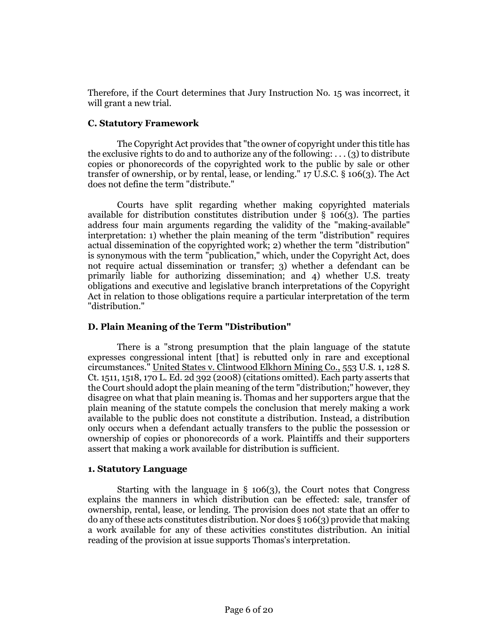Therefore, if the Court determines that Jury Instruction No. 15 was incorrect, it will grant a new trial.

## **C. Statutory Framework**

The Copyright Act provides that "the owner of copyright under this title has the exclusive rights to do and to authorize any of the following:  $\dots$  (3) to distribute copies or phonorecords of the copyrighted work to the public by sale or other transfer of ownership, or by rental, lease, or lending." 17 U.S.C. § 106(3). The Act does not define the term "distribute."

Courts have split regarding whether making copyrighted materials available for distribution constitutes distribution under § 106(3). The parties address four main arguments regarding the validity of the "making-available" interpretation: 1) whether the plain meaning of the term "distribution" requires actual dissemination of the copyrighted work; 2) whether the term "distribution" is synonymous with the term "publication," which, under the Copyright Act, does not require actual dissemination or transfer; 3) whether a defendant can be primarily liable for authorizing dissemination; and 4) whether U.S. treaty obligations and executive and legislative branch interpretations of the Copyright Act in relation to those obligations require a particular interpretation of the term "distribution."

## **D. Plain Meaning of the Term "Distribution"**

There is a "strong presumption that the plain language of the statute expresses congressional intent [that] is rebutted only in rare and exceptional circumstances." United States v. Clintwood Elkhorn Mining Co., 553 U.S. 1, 128 S. Ct. 1511, 1518, 170 L. Ed. 2d 392 (2008) (citations omitted). Each party asserts that the Court should adopt the plain meaning of the term "distribution;" however, they disagree on what that plain meaning is. Thomas and her supporters argue that the plain meaning of the statute compels the conclusion that merely making a work available to the public does not constitute a distribution. Instead, a distribution only occurs when a defendant actually transfers to the public the possession or ownership of copies or phonorecords of a work. Plaintiffs and their supporters assert that making a work available for distribution is sufficient.

## **1. Statutory Language**

Starting with the language in § 106(3), the Court notes that Congress explains the manners in which distribution can be effected: sale, transfer of ownership, rental, lease, or lending. The provision does not state that an offer to do any of these acts constitutes distribution. Nor does § 106(3) provide that making a work available for any of these activities constitutes distribution. An initial reading of the provision at issue supports Thomas's interpretation.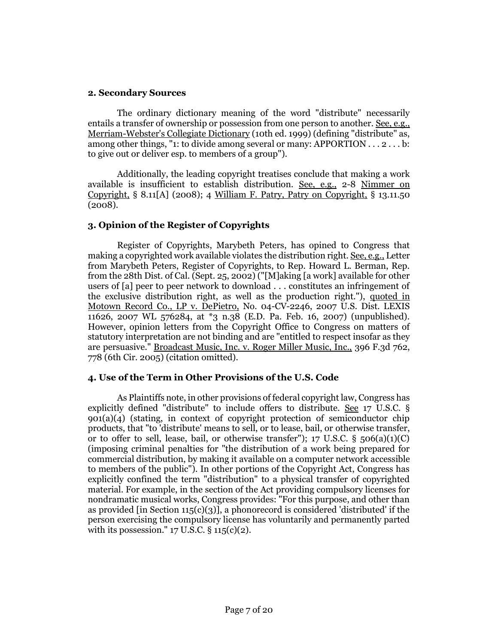#### **2. Secondary Sources**

The ordinary dictionary meaning of the word "distribute" necessarily entails a transfer of ownership or possession from one person to another. See, e.g., Merriam-Webster's Collegiate Dictionary (10th ed. 1999) (defining "distribute" as, among other things, "1: to divide among several or many: APPORTION . . . 2 . . . b: to give out or deliver esp. to members of a group").

Additionally, the leading copyright treatises conclude that making a work available is insufficient to establish distribution. See, e.g., 2-8 Nimmer on Copyright,  $\S$  8.11[A] (2008); 4 William F. Patry, Patry on Copyright,  $\S$  13.11.50 (2008).

## **3. Opinion of the Register of Copyrights**

Register of Copyrights, Marybeth Peters, has opined to Congress that making a copyrighted work available violates the distribution right. See, e.g., Letter from Marybeth Peters, Register of Copyrights, to Rep. Howard L. Berman, Rep. from the 28th Dist. of Cal. (Sept. 25, 2002) ("[M]aking [a work] available for other users of [a] peer to peer network to download . . . constitutes an infringement of the exclusive distribution right, as well as the production right."), quoted in Motown Record Co., LP v. DePietro, No. 04-CV-2246, 2007 U.S. Dist. LEXIS 11626, 2007 WL 576284, at \*3 n.38 (E.D. Pa. Feb. 16, 2007) (unpublished). However, opinion letters from the Copyright Office to Congress on matters of statutory interpretation are not binding and are "entitled to respect insofar as they are persuasive." Broadcast Music, Inc. v. Roger Miller Music, Inc., 396 F.3d 762, 778 (6th Cir. 2005) (citation omitted).

# **4. Use of the Term in Other Provisions of the U.S. Code**

As Plaintiffs note, in other provisions of federal copyright law, Congress has explicitly defined "distribute" to include offers to distribute. See 17 U.S.C. §  $901(a)(4)$  (stating, in context of copyright protection of semiconductor chip products, that "to 'distribute' means to sell, or to lease, bail, or otherwise transfer, or to offer to sell, lease, bail, or otherwise transfer"); 17 U.S.C. § 506(a)(1)(C) (imposing criminal penalties for "the distribution of a work being prepared for commercial distribution, by making it available on a computer network accessible to members of the public"). In other portions of the Copyright Act, Congress has explicitly confined the term "distribution" to a physical transfer of copyrighted material. For example, in the section of the Act providing compulsory licenses for nondramatic musical works, Congress provides: "For this purpose, and other than as provided  $\lceil$  in Section 115(c)(3) $\bar{l}$ , a phonorecord is considered 'distributed' if the person exercising the compulsory license has voluntarily and permanently parted with its possession."  $17 \text{ U.S.C.}$  §  $115(c)(2)$ .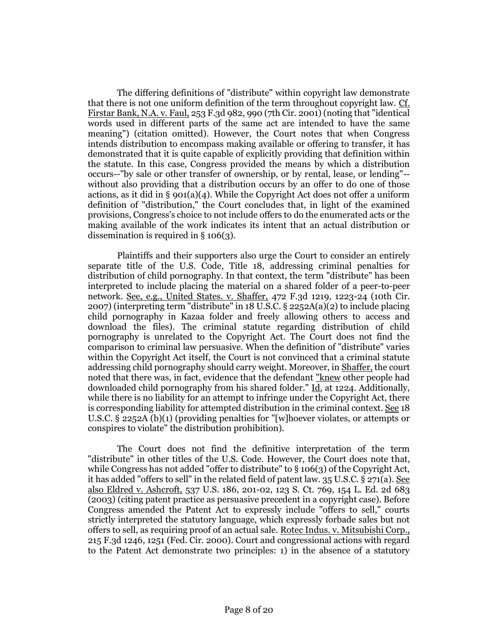The differing definitions of "distribute" within copyright law demonstrate that there is not one uniform definition of the term throughout copyright law. Cf. Firstar Bank, N.A. v. Faul, 253 F.3d 982, 990 (7th Cir. 2001) (noting that "identical words used in different parts of the same act are intended to have the same meaning") (citation omitted). However, the Court notes that when Congress intends distribution to encompass making available or offering to transfer, it has demonstrated that it is quite capable of explicitly providing that definition within the statute. In this case, Congress provided the means by which a distribution occurs--"by sale or other transfer of ownership, or by rental, lease, or lending"- without also providing that a distribution occurs by an offer to do one of those actions, as it did in §  $901(a)(4)$ . While the Copyright Act does not offer a uniform definition of "distribution," the Court concludes that, in light of the examined provisions, Congress's choice to not include offers to do the enumerated acts or the making available of the work indicates its intent that an actual distribution or dissemination is required in § 106(3).

Plaintiffs and their supporters also urge the Court to consider an entirely separate title of the U.S. Code, Title 18, addressing criminal penalties for distribution of child pornography. In that context, the term "distribute" has been interpreted to include placing the material on a shared folder of a peer-to-peer network. See, e.g., United States. v. Shaffer, 472 F.3d 1219, 1223-24 (10th Cir. 2007) (interpreting term "distribute" in 18 U.S.C. § 2252A(a)(2) to include placing child pornography in Kazaa folder and freely allowing others to access and download the files). The criminal statute regarding distribution of child pornography is unrelated to the Copyright Act. The Court does not find the comparison to criminal law persuasive. When the definition of "distribute" varies within the Copyright Act itself, the Court is not convinced that a criminal statute addressing child pornography should carry weight. Moreover, in Shaffer, the court noted that there was, in fact, evidence that the defendant "knew other people had downloaded child pornography from his shared folder." Id. at 1224. Additionally, while there is no liability for an attempt to infringe under the Copyright Act, there is corresponding liability for attempted distribution in the criminal context. See 18 U.S.C. § 2252A (b)(1) (providing penalties for "[w]hoever violates, or attempts or conspires to violate" the distribution prohibition).

The Court does not find the definitive interpretation of the term "distribute" in other titles of the U.S. Code. However, the Court does note that, while Congress has not added "offer to distribute" to § 106(3) of the Copyright Act, it has added "offers to sell" in the related field of patent law. 35 U.S.C. § 271(a). See also Eldred v. Ashcroft, 537 U.S. 186, 201-02, 123 S. Ct. 769, 154 L. Ed. 2d 683 (2003) (citing patent practice as persuasive precedent in a copyright case). Before Congress amended the Patent Act to expressly include "offers to sell," courts strictly interpreted the statutory language, which expressly forbade sales but not offers to sell, as requiring proof of an actual sale. Rotec Indus. v. Mitsubishi Corp., 215 F.3d 1246, 1251 (Fed. Cir. 2000). Court and congressional actions with regard to the Patent Act demonstrate two principles: 1) in the absence of a statutory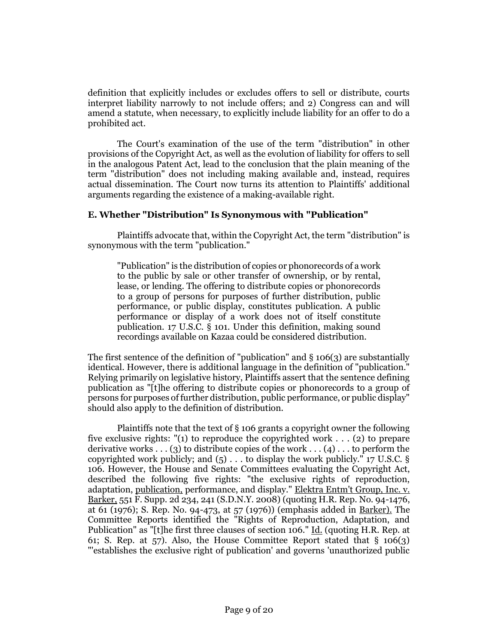definition that explicitly includes or excludes offers to sell or distribute, courts interpret liability narrowly to not include offers; and 2) Congress can and will amend a statute, when necessary, to explicitly include liability for an offer to do a prohibited act.

The Court's examination of the use of the term "distribution" in other provisions of the Copyright Act, as well as the evolution of liability for offers to sell in the analogous Patent Act, lead to the conclusion that the plain meaning of the term "distribution" does not including making available and, instead, requires actual dissemination. The Court now turns its attention to Plaintiffs' additional arguments regarding the existence of a making-available right.

## **E. Whether "Distribution" Is Synonymous with "Publication"**

Plaintiffs advocate that, within the Copyright Act, the term "distribution" is synonymous with the term "publication."

"Publication" is the distribution of copies or phonorecords of a work to the public by sale or other transfer of ownership, or by rental, lease, or lending. The offering to distribute copies or phonorecords to a group of persons for purposes of further distribution, public performance, or public display, constitutes publication. A public performance or display of a work does not of itself constitute publication. 17 U.S.C. § 101. Under this definition, making sound recordings available on Kazaa could be considered distribution.

The first sentence of the definition of "publication" and § 106(3) are substantially identical. However, there is additional language in the definition of "publication." Relying primarily on legislative history, Plaintiffs assert that the sentence defining publication as "[t]he offering to distribute copies or phonorecords to a group of persons for purposes of further distribution, public performance, or public display" should also apply to the definition of distribution.

Plaintiffs note that the text of § 106 grants a copyright owner the following five exclusive rights: "(1) to reproduce the copyrighted work . . . (2) to prepare derivative works  $\dots$  (3) to distribute copies of the work  $\dots$  (4)  $\dots$  to perform the copyrighted work publicly; and  $(5)$ ... to display the work publicly." 17 U.S.C. § 106. However, the House and Senate Committees evaluating the Copyright Act, described the following five rights: "the exclusive rights of reproduction, adaptation, publication, performance, and display." Elektra Entm't Group, Inc. v. Barker, 551 F. Supp. 2d 234, 241 (S.D.N.Y. 2008) (quoting H.R. Rep. No. 94-1476, at 61 (1976); S. Rep. No. 94-473, at 57 (1976)) (emphasis added in Barker). The Committee Reports identified the "Rights of Reproduction, Adaptation, and Publication" as "[t]he first three clauses of section 106." Id. (quoting H.R. Rep. at 61; S. Rep. at 57). Also, the House Committee Report stated that  $\S$  106(3) "'establishes the exclusive right of publication' and governs 'unauthorized public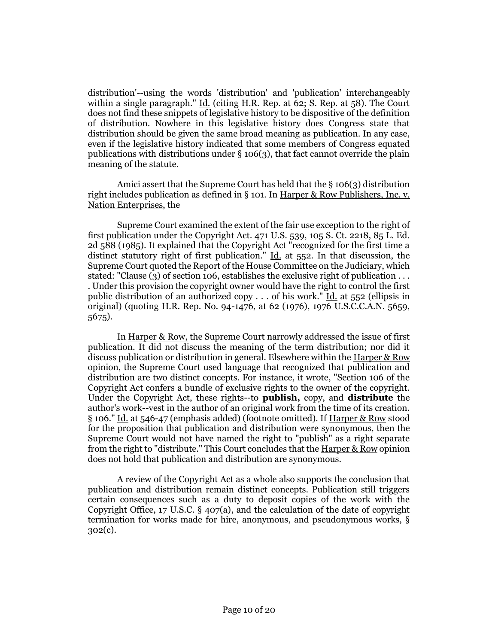distribution'--using the words 'distribution' and 'publication' interchangeably within a single paragraph." Id. (citing H.R. Rep. at  $62$ ; S. Rep. at  $58$ ). The Court does not find these snippets of legislative history to be dispositive of the definition of distribution. Nowhere in this legislative history does Congress state that distribution should be given the same broad meaning as publication. In any case, even if the legislative history indicated that some members of Congress equated publications with distributions under  $\S$  106(3), that fact cannot override the plain meaning of the statute.

Amici assert that the Supreme Court has held that the § 106(3) distribution right includes publication as defined in § 101. In Harper & Row Publishers, Inc. v. Nation Enterprises, the

Supreme Court examined the extent of the fair use exception to the right of first publication under the Copyright Act. 471 U.S. 539, 105 S. Ct. 2218, 85 L. Ed. 2d 588 (1985). It explained that the Copyright Act "recognized for the first time a distinct statutory right of first publication."  $\underline{Id}$  at 552. In that discussion, the Supreme Court quoted the Report of the House Committee on the Judiciary, which stated: "Clause  $(3)$  of section 106, establishes the exclusive right of publication ... . Under this provision the copyright owner would have the right to control the first public distribution of an authorized copy  $\ldots$  of his work." Id. at 552 (ellipsis in original) (quoting H.R. Rep. No. 94-1476, at 62 (1976), 1976 U.S.C.C.A.N. 5659, 5675).

In Harper & Row, the Supreme Court narrowly addressed the issue of first publication. It did not discuss the meaning of the term distribution; nor did it discuss publication or distribution in general. Elsewhere within the Harper & Row opinion, the Supreme Court used language that recognized that publication and distribution are two distinct concepts. For instance, it wrote, "Section 106 of the Copyright Act confers a bundle of exclusive rights to the owner of the copyright. Under the Copyright Act, these rights--to **publish,** copy, and **distribute** the author's work--vest in the author of an original work from the time of its creation. § 106." Id. at 546-47 (emphasis added) (footnote omitted). If Harper & Row stood for the proposition that publication and distribution were synonymous, then the Supreme Court would not have named the right to "publish" as a right separate from the right to "distribute." This Court concludes that the Harper & Row opinion does not hold that publication and distribution are synonymous.

A review of the Copyright Act as a whole also supports the conclusion that publication and distribution remain distinct concepts. Publication still triggers certain consequences such as a duty to deposit copies of the work with the Copyright Office, 17 U.S.C. § 407(a), and the calculation of the date of copyright termination for works made for hire, anonymous, and pseudonymous works, § 302(c).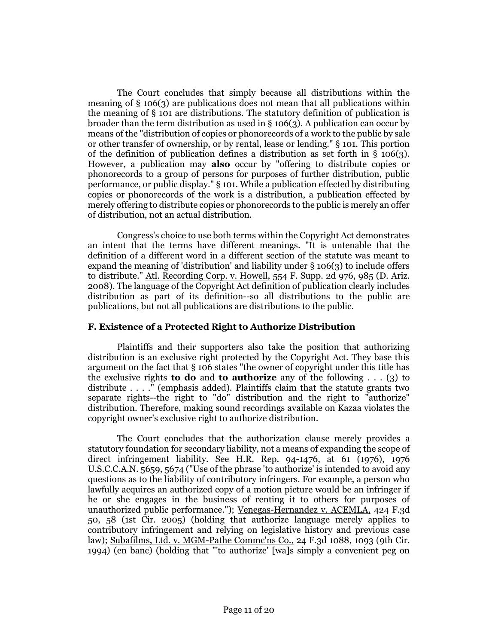The Court concludes that simply because all distributions within the meaning of § 106(3) are publications does not mean that all publications within the meaning of § 101 are distributions. The statutory definition of publication is broader than the term distribution as used in § 106(3). A publication can occur by means of the "distribution of copies or phonorecords of a work to the public by sale or other transfer of ownership, or by rental, lease or lending." § 101. This portion of the definition of publication defines a distribution as set forth in § 106(3). However, a publication may **also** occur by "offering to distribute copies or phonorecords to a group of persons for purposes of further distribution, public performance, or public display." § 101. While a publication effected by distributing copies or phonorecords of the work is a distribution, a publication effected by merely offering to distribute copies or phonorecords to the public is merely an offer of distribution, not an actual distribution.

Congress's choice to use both terms within the Copyright Act demonstrates an intent that the terms have different meanings. "It is untenable that the definition of a different word in a different section of the statute was meant to expand the meaning of 'distribution' and liability under § 106(3) to include offers to distribute." Atl. Recording Corp. v. Howell, 554 F. Supp. 2d 976, 985 (D. Ariz. 2008). The language of the Copyright Act definition of publication clearly includes distribution as part of its definition--so all distributions to the public are publications, but not all publications are distributions to the public.

## **F. Existence of a Protected Right to Authorize Distribution**

Plaintiffs and their supporters also take the position that authorizing distribution is an exclusive right protected by the Copyright Act. They base this argument on the fact that § 106 states "the owner of copyright under this title has the exclusive rights **to do** and **to authorize** any of the following . . . (3) to distribute  $\dots$ ." (emphasis added). Plaintiffs claim that the statute grants two separate rights--the right to "do" distribution and the right to "authorize" distribution. Therefore, making sound recordings available on Kazaa violates the copyright owner's exclusive right to authorize distribution.

The Court concludes that the authorization clause merely provides a statutory foundation for secondary liability, not a means of expanding the scope of direct infringement liability. See H.R. Rep. 94-1476, at 61 (1976), 1976 U.S.C.C.A.N. 5659, 5674 ("Use of the phrase 'to authorize' is intended to avoid any questions as to the liability of contributory infringers. For example, a person who lawfully acquires an authorized copy of a motion picture would be an infringer if he or she engages in the business of renting it to others for purposes of unauthorized public performance."); Venegas-Hernandez v. ACEMLA, 424 F.3d 50, 58 (1st Cir. 2005) (holding that authorize language merely applies to contributory infringement and relying on legislative history and previous case law); Subafilms, Ltd. v. MGM-Pathe Commc'ns Co., 24 F.3d 1088, 1093 (9th Cir. 1994) (en banc) (holding that "'to authorize' [wa]s simply a convenient peg on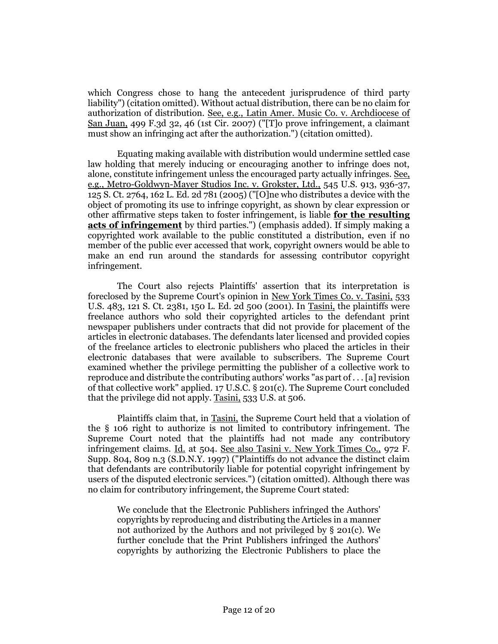which Congress chose to hang the antecedent jurisprudence of third party liability") (citation omitted). Without actual distribution, there can be no claim for authorization of distribution. See, e.g., Latin Amer. Music Co. v. Archdiocese of San Juan, 499 F.3d 32, 46 (1st Cir. 2007) ("[T]o prove infringement, a claimant must show an infringing act after the authorization.") (citation omitted).

Equating making available with distribution would undermine settled case law holding that merely inducing or encouraging another to infringe does not, alone, constitute infringement unless the encouraged party actually infringes. See, e.g., Metro-Goldwyn-Mayer Studios Inc. v. Grokster, Ltd., 545 U.S. 913, 936-37, 125 S. Ct. 2764, 162 L. Ed. 2d 781 (2005) ("[O]ne who distributes a device with the object of promoting its use to infringe copyright, as shown by clear expression or other affirmative steps taken to foster infringement, is liable **for the resulting acts of infringement** by third parties.") (emphasis added). If simply making a copyrighted work available to the public constituted a distribution, even if no member of the public ever accessed that work, copyright owners would be able to make an end run around the standards for assessing contributor copyright infringement.

The Court also rejects Plaintiffs' assertion that its interpretation is foreclosed by the Supreme Court's opinion in New York Times Co. v. Tasini, 533 U.S. 483, 121 S. Ct. 2381, 150 L. Ed. 2d 500 (2001). In Tasini, the plaintiffs were freelance authors who sold their copyrighted articles to the defendant print newspaper publishers under contracts that did not provide for placement of the articles in electronic databases. The defendants later licensed and provided copies of the freelance articles to electronic publishers who placed the articles in their electronic databases that were available to subscribers. The Supreme Court examined whether the privilege permitting the publisher of a collective work to reproduce and distribute the contributing authors' works "as part of . . . [a] revision of that collective work" applied. 17 U.S.C. § 201(c). The Supreme Court concluded that the privilege did not apply. Tasini, 533 U.S. at 506.

Plaintiffs claim that, in Tasini, the Supreme Court held that a violation of the § 106 right to authorize is not limited to contributory infringement. The Supreme Court noted that the plaintiffs had not made any contributory infringement claims. Id. at 504. See also Tasini v. New York Times Co., 972 F. Supp. 804, 809 n.3 (S.D.N.Y. 1997) ("Plaintiffs do not advance the distinct claim that defendants are contributorily liable for potential copyright infringement by users of the disputed electronic services.") (citation omitted). Although there was no claim for contributory infringement, the Supreme Court stated:

We conclude that the Electronic Publishers infringed the Authors' copyrights by reproducing and distributing the Articles in a manner not authorized by the Authors and not privileged by § 201(c). We further conclude that the Print Publishers infringed the Authors' copyrights by authorizing the Electronic Publishers to place the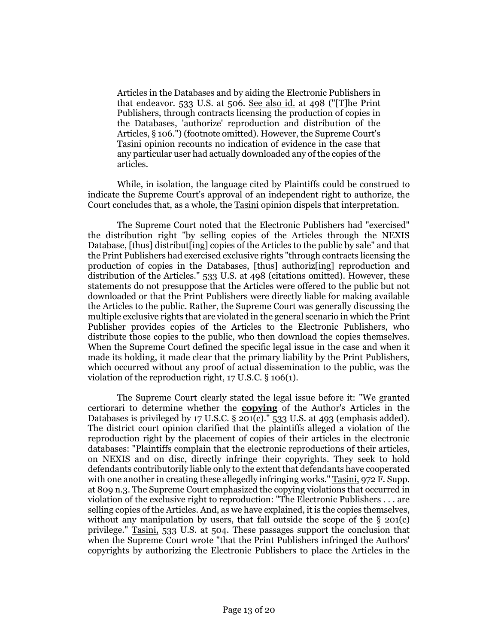Articles in the Databases and by aiding the Electronic Publishers in that endeavor. 533 U.S. at 506. See also id. at 498 ("[T]he Print Publishers, through contracts licensing the production of copies in the Databases, 'authorize' reproduction and distribution of the Articles, § 106.") (footnote omitted). However, the Supreme Court's Tasini opinion recounts no indication of evidence in the case that any particular user had actually downloaded any of the copies of the articles.

While, in isolation, the language cited by Plaintiffs could be construed to indicate the Supreme Court's approval of an independent right to authorize, the Court concludes that, as a whole, the Tasini opinion dispels that interpretation.

The Supreme Court noted that the Electronic Publishers had "exercised" the distribution right "by selling copies of the Articles through the NEXIS Database, [thus] distribut[ing] copies of the Articles to the public by sale" and that the Print Publishers had exercised exclusive rights "through contracts licensing the production of copies in the Databases, [thus] authoriz[ing] reproduction and distribution of the Articles." 533 U.S. at 498 (citations omitted). However, these statements do not presuppose that the Articles were offered to the public but not downloaded or that the Print Publishers were directly liable for making available the Articles to the public. Rather, the Supreme Court was generally discussing the multiple exclusive rights that are violated in the general scenario in which the Print Publisher provides copies of the Articles to the Electronic Publishers, who distribute those copies to the public, who then download the copies themselves. When the Supreme Court defined the specific legal issue in the case and when it made its holding, it made clear that the primary liability by the Print Publishers, which occurred without any proof of actual dissemination to the public, was the violation of the reproduction right, 17 U.S.C. § 106(1).

The Supreme Court clearly stated the legal issue before it: "We granted certiorari to determine whether the **copying** of the Author's Articles in the Databases is privileged by 17 U.S.C. § 201(c)." 533 U.S. at 493 (emphasis added). The district court opinion clarified that the plaintiffs alleged a violation of the reproduction right by the placement of copies of their articles in the electronic databases: "Plaintiffs complain that the electronic reproductions of their articles, on NEXIS and on disc, directly infringe their copyrights. They seek to hold defendants contributorily liable only to the extent that defendants have cooperated with one another in creating these allegedly infringing works." Tasini, 972 F. Supp. at 809 n.3. The Supreme Court emphasized the copying violations that occurred in violation of the exclusive right to reproduction: "The Electronic Publishers . . . are selling copies of the Articles. And, as we have explained, it is the copies themselves, without any manipulation by users, that fall outside the scope of the  $\S$  201(c) privilege." Tasini, 533 U.S. at 504. These passages support the conclusion that when the Supreme Court wrote "that the Print Publishers infringed the Authors' copyrights by authorizing the Electronic Publishers to place the Articles in the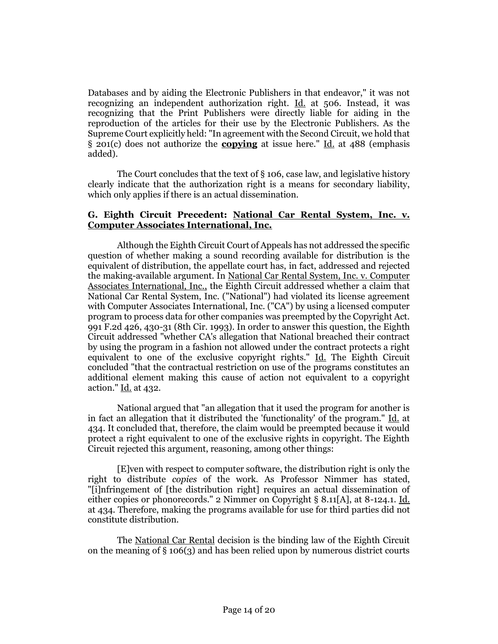Databases and by aiding the Electronic Publishers in that endeavor," it was not recognizing an independent authorization right. Id. at 506. Instead, it was recognizing that the Print Publishers were directly liable for aiding in the reproduction of the articles for their use by the Electronic Publishers. As the Supreme Court explicitly held: "In agreement with the Second Circuit, we hold that § 201(c) does not authorize the **copying** at issue here." Id. at 488 (emphasis added).

The Court concludes that the text of § 106, case law, and legislative history clearly indicate that the authorization right is a means for secondary liability, which only applies if there is an actual dissemination.

## **G. Eighth Circuit Precedent: National Car Rental System, Inc. v. Computer Associates International, Inc.**

Although the Eighth Circuit Court of Appeals has not addressed the specific question of whether making a sound recording available for distribution is the equivalent of distribution, the appellate court has, in fact, addressed and rejected the making-available argument. In National Car Rental System, Inc. v. Computer Associates International, Inc., the Eighth Circuit addressed whether a claim that National Car Rental System, Inc. ("National") had violated its license agreement with Computer Associates International, Inc. ("CA") by using a licensed computer program to process data for other companies was preempted by the Copyright Act. 991 F.2d 426, 430-31 (8th Cir. 1993). In order to answer this question, the Eighth Circuit addressed "whether CA's allegation that National breached their contract by using the program in a fashion not allowed under the contract protects a right equivalent to one of the exclusive copyright rights." Id. The Eighth Circuit concluded "that the contractual restriction on use of the programs constitutes an additional element making this cause of action not equivalent to a copyright action." Id. at 432.

National argued that "an allegation that it used the program for another is in fact an allegation that it distributed the 'functionality' of the program." Id. at 434. It concluded that, therefore, the claim would be preempted because it would protect a right equivalent to one of the exclusive rights in copyright. The Eighth Circuit rejected this argument, reasoning, among other things:

[E]ven with respect to computer software, the distribution right is only the right to distribute *copies* of the work. As Professor Nimmer has stated, "[i]nfringement of [the distribution right] requires an actual dissemination of either copies or phonorecords." 2 Nimmer on Copyright § 8.11[A], at 8-124.1. Id. at 434. Therefore, making the programs available for use for third parties did not constitute distribution.

The National Car Rental decision is the binding law of the Eighth Circuit on the meaning of § 106(3) and has been relied upon by numerous district courts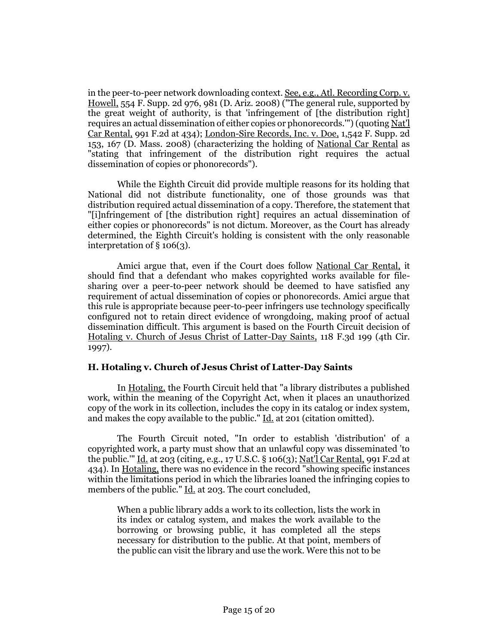in the peer-to-peer network downloading context. See, e.g., Atl. Recording Corp. v. Howell, 554 F. Supp. 2d 976, 981 (D. Ariz. 2008) ("The general rule, supported by the great weight of authority, is that 'infringement of [the distribution right] requires an actual dissemination of either copies or phonorecords.'") (quoting Nat'l Car Rental, 991 F.2d at 434); London-Sire Records, Inc. v. Doe, 1,542 F. Supp. 2d 153, 167 (D. Mass. 2008) (characterizing the holding of National Car Rental as "stating that infringement of the distribution right requires the actual dissemination of copies or phonorecords").

While the Eighth Circuit did provide multiple reasons for its holding that National did not distribute functionality, one of those grounds was that distribution required actual dissemination of a copy. Therefore, the statement that "[i]nfringement of [the distribution right] requires an actual dissemination of either copies or phonorecords" is not dictum. Moreover, as the Court has already determined, the Eighth Circuit's holding is consistent with the only reasonable interpretation of § 106(3).

Amici argue that, even if the Court does follow National Car Rental, it should find that a defendant who makes copyrighted works available for filesharing over a peer-to-peer network should be deemed to have satisfied any requirement of actual dissemination of copies or phonorecords. Amici argue that this rule is appropriate because peer-to-peer infringers use technology specifically configured not to retain direct evidence of wrongdoing, making proof of actual dissemination difficult. This argument is based on the Fourth Circuit decision of Hotaling v. Church of Jesus Christ of Latter-Day Saints, 118 F.3d 199 (4th Cir. 1997).

## **H. Hotaling v. Church of Jesus Christ of Latter-Day Saints**

In Hotaling, the Fourth Circuit held that "a library distributes a published work, within the meaning of the Copyright Act, when it places an unauthorized copy of the work in its collection, includes the copy in its catalog or index system, and makes the copy available to the public." Id. at 201 (citation omitted).

The Fourth Circuit noted, "In order to establish 'distribution' of a copyrighted work, a party must show that an unlawful copy was disseminated 'to the public." Id. at 203 (citing, e.g., 17 U.S.C. § 106(3); Nat'l Car Rental, 991 F.2d at 434). In Hotaling, there was no evidence in the record "showing specific instances within the limitations period in which the libraries loaned the infringing copies to members of the public." Id. at 203. The court concluded,

When a public library adds a work to its collection, lists the work in its index or catalog system, and makes the work available to the borrowing or browsing public, it has completed all the steps necessary for distribution to the public. At that point, members of the public can visit the library and use the work. Were this not to be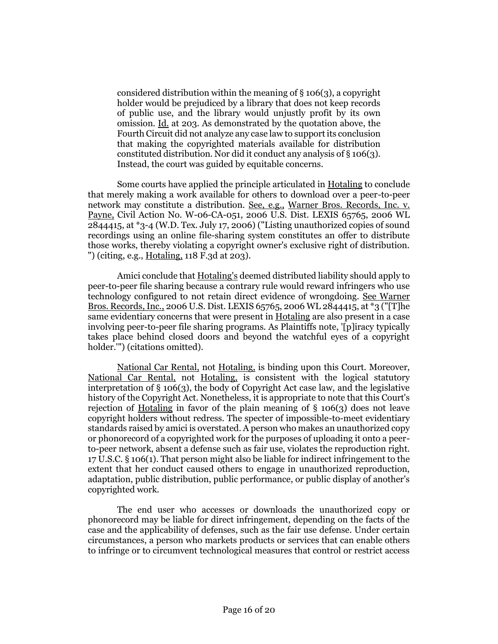considered distribution within the meaning of § 106(3), a copyright holder would be prejudiced by a library that does not keep records of public use, and the library would unjustly profit by its own omission. Id. at 203. As demonstrated by the quotation above, the Fourth Circuit did not analyze any case law to support its conclusion that making the copyrighted materials available for distribution constituted distribution. Nor did it conduct any analysis of § 106(3). Instead, the court was guided by equitable concerns.

Some courts have applied the principle articulated in Hotaling to conclude that merely making a work available for others to download over a peer-to-peer network may constitute a distribution. See, e.g., Warner Bros. Records, Inc. v. Payne, Civil Action No. W-06-CA-051, 2006 U.S. Dist. LEXIS 65765, 2006 WL 2844415, at \*3-4 (W.D. Tex. July 17, 2006) ("Listing unauthorized copies of sound recordings using an online file-sharing system constitutes an offer to distribute those works, thereby violating a copyright owner's exclusive right of distribution. ") (citing, e.g., Hotaling, 118 F.3d at 203).

Amici conclude that Hotaling's deemed distributed liability should apply to peer-to-peer file sharing because a contrary rule would reward infringers who use technology configured to not retain direct evidence of wrongdoing. See Warner Bros. Records, Inc., 2006 U.S. Dist. LEXIS 65765, 2006 WL 2844415, at \*3 ("[T]he same evidentiary concerns that were present in Hotaling are also present in a case involving peer-to-peer file sharing programs. As Plaintiffs note, '[p]iracy typically takes place behind closed doors and beyond the watchful eyes of a copyright holder.'") (citations omitted).

National Car Rental, not Hotaling, is binding upon this Court. Moreover, National Car Rental, not Hotaling, is consistent with the logical statutory interpretation of § 106(3), the body of Copyright Act case law, and the legislative history of the Copyright Act. Nonetheless, it is appropriate to note that this Court's rejection of Hotaling in favor of the plain meaning of  $\S$  106(3) does not leave copyright holders without redress. The specter of impossible-to-meet evidentiary standards raised by amici is overstated. A person who makes an unauthorized copy or phonorecord of a copyrighted work for the purposes of uploading it onto a peerto-peer network, absent a defense such as fair use, violates the reproduction right. 17 U.S.C. § 106(1). That person might also be liable for indirect infringement to the extent that her conduct caused others to engage in unauthorized reproduction, adaptation, public distribution, public performance, or public display of another's copyrighted work.

The end user who accesses or downloads the unauthorized copy or phonorecord may be liable for direct infringement, depending on the facts of the case and the applicability of defenses, such as the fair use defense. Under certain circumstances, a person who markets products or services that can enable others to infringe or to circumvent technological measures that control or restrict access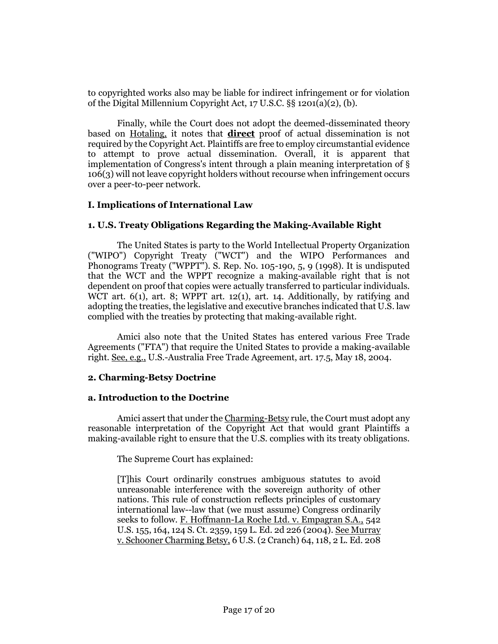to copyrighted works also may be liable for indirect infringement or for violation of the Digital Millennium Copyright Act, 17 U.S.C. §§ 1201(a)(2), (b).

Finally, while the Court does not adopt the deemed-disseminated theory based on Hotaling, it notes that **direct** proof of actual dissemination is not required by the Copyright Act. Plaintiffs are free to employ circumstantial evidence to attempt to prove actual dissemination. Overall, it is apparent that implementation of Congress's intent through a plain meaning interpretation of § 106(3) will not leave copyright holders without recourse when infringement occurs over a peer-to-peer network.

## **I. Implications of International Law**

## **1. U.S. Treaty Obligations Regarding the Making-Available Right**

The United States is party to the World Intellectual Property Organization ("WIPO") Copyright Treaty ("WCT") and the WIPO Performances and Phonograms Treaty ("WPPT"). S. Rep. No. 105-190, 5, 9 (1998). It is undisputed that the WCT and the WPPT recognize a making-available right that is not dependent on proof that copies were actually transferred to particular individuals. WCT art. 6(1), art. 8; WPPT art. 12(1), art. 14. Additionally, by ratifying and adopting the treaties, the legislative and executive branches indicated that U.S. law complied with the treaties by protecting that making-available right.

Amici also note that the United States has entered various Free Trade Agreements ("FTA") that require the United States to provide a making-available right. See, e.g., U.S.-Australia Free Trade Agreement, art. 17.5, May 18, 2004.

# **2. Charming-Betsy Doctrine**

## **a. Introduction to the Doctrine**

Amici assert that under the Charming-Betsy rule, the Court must adopt any reasonable interpretation of the Copyright Act that would grant Plaintiffs a making-available right to ensure that the U.S. complies with its treaty obligations.

The Supreme Court has explained:

[T]his Court ordinarily construes ambiguous statutes to avoid unreasonable interference with the sovereign authority of other nations. This rule of construction reflects principles of customary international law--law that (we must assume) Congress ordinarily seeks to follow. F. Hoffmann-La Roche Ltd. v. Empagran S.A., 542 U.S. 155, 164, 124 S. Ct. 2359, 159 L. Ed. 2d 226 (2004). See Murray v. Schooner Charming Betsy, 6 U.S. (2 Cranch) 64, 118, 2 L. Ed. 208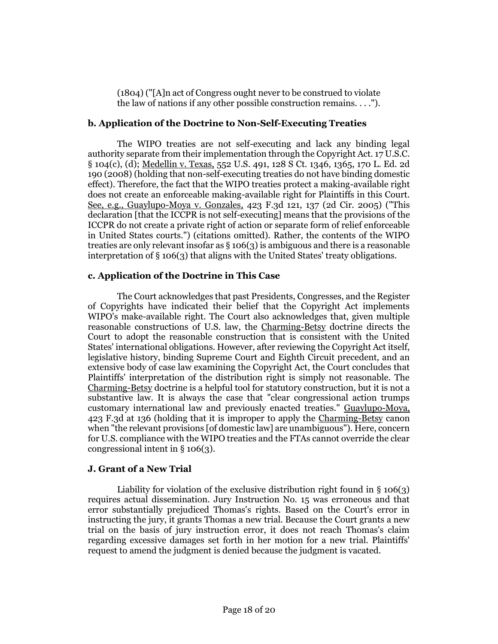(1804) ("[A]n act of Congress ought never to be construed to violate the law of nations if any other possible construction remains. . . .").

# **b. Application of the Doctrine to Non-Self-Executing Treaties**

The WIPO treaties are not self-executing and lack any binding legal authority separate from their implementation through the Copyright Act. 17 U.S.C. § 104(c), (d); Medellin v. Texas, 552 U.S. 491, 128 S Ct. 1346, 1365, 170 L. Ed. 2d 190 (2008) (holding that non-self-executing treaties do not have binding domestic effect). Therefore, the fact that the WIPO treaties protect a making-available right does not create an enforceable making-available right for Plaintiffs in this Court. See, e.g., Guaylupo-Moya v. Gonzales, 423 F.3d 121, 137 (2d Cir. 2005) ("This declaration [that the ICCPR is not self-executing] means that the provisions of the ICCPR do not create a private right of action or separate form of relief enforceable in United States courts.") (citations omitted). Rather, the contents of the WIPO treaties are only relevant insofar as § 106(3) is ambiguous and there is a reasonable interpretation of § 106(3) that aligns with the United States' treaty obligations.

## **c. Application of the Doctrine in This Case**

The Court acknowledges that past Presidents, Congresses, and the Register of Copyrights have indicated their belief that the Copyright Act implements WIPO's make-available right. The Court also acknowledges that, given multiple reasonable constructions of U.S. law, the Charming-Betsy doctrine directs the Court to adopt the reasonable construction that is consistent with the United States' international obligations. However, after reviewing the Copyright Act itself, legislative history, binding Supreme Court and Eighth Circuit precedent, and an extensive body of case law examining the Copyright Act, the Court concludes that Plaintiffs' interpretation of the distribution right is simply not reasonable. The Charming-Betsy doctrine is a helpful tool for statutory construction, but it is not a substantive law. It is always the case that "clear congressional action trumps customary international law and previously enacted treaties." Guaylupo-Moya, 423 F.3d at 136 (holding that it is improper to apply the Charming-Betsy canon when "the relevant provisions [of domestic law] are unambiguous"). Here, concern for U.S. compliance with the WIPO treaties and the FTAs cannot override the clear congressional intent in § 106(3).

# **J. Grant of a New Trial**

Liability for violation of the exclusive distribution right found in § 106(3) requires actual dissemination. Jury Instruction No. 15 was erroneous and that error substantially prejudiced Thomas's rights. Based on the Court's error in instructing the jury, it grants Thomas a new trial. Because the Court grants a new trial on the basis of jury instruction error, it does not reach Thomas's claim regarding excessive damages set forth in her motion for a new trial. Plaintiffs' request to amend the judgment is denied because the judgment is vacated.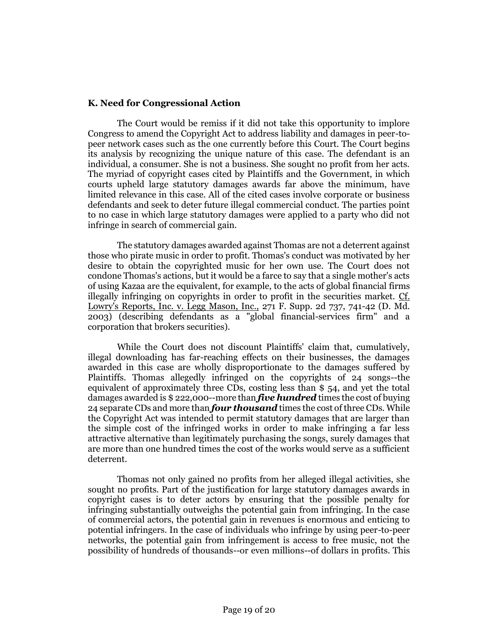## **K. Need for Congressional Action**

The Court would be remiss if it did not take this opportunity to implore Congress to amend the Copyright Act to address liability and damages in peer-topeer network cases such as the one currently before this Court. The Court begins its analysis by recognizing the unique nature of this case. The defendant is an individual, a consumer. She is not a business. She sought no profit from her acts. The myriad of copyright cases cited by Plaintiffs and the Government, in which courts upheld large statutory damages awards far above the minimum, have limited relevance in this case. All of the cited cases involve corporate or business defendants and seek to deter future illegal commercial conduct. The parties point to no case in which large statutory damages were applied to a party who did not infringe in search of commercial gain.

The statutory damages awarded against Thomas are not a deterrent against those who pirate music in order to profit. Thomas's conduct was motivated by her desire to obtain the copyrighted music for her own use. The Court does not condone Thomas's actions, but it would be a farce to say that a single mother's acts of using Kazaa are the equivalent, for example, to the acts of global financial firms illegally infringing on copyrights in order to profit in the securities market. Cf. Lowry's Reports, Inc. v. Legg Mason, Inc., 271 F. Supp. 2d 737, 741-42 (D. Md. 2003) (describing defendants as a "global financial-services firm" and a corporation that brokers securities).

While the Court does not discount Plaintiffs' claim that, cumulatively, illegal downloading has far-reaching effects on their businesses, the damages awarded in this case are wholly disproportionate to the damages suffered by Plaintiffs. Thomas allegedly infringed on the copyrights of 24 songs--the equivalent of approximately three CDs, costing less than \$ 54, and yet the total damages awarded is \$ 222,000--more than *five hundred* times the cost of buying 24 separate CDs and more than *four thousand* times the cost of three CDs. While the Copyright Act was intended to permit statutory damages that are larger than the simple cost of the infringed works in order to make infringing a far less attractive alternative than legitimately purchasing the songs, surely damages that are more than one hundred times the cost of the works would serve as a sufficient deterrent.

Thomas not only gained no profits from her alleged illegal activities, she sought no profits. Part of the justification for large statutory damages awards in copyright cases is to deter actors by ensuring that the possible penalty for infringing substantially outweighs the potential gain from infringing. In the case of commercial actors, the potential gain in revenues is enormous and enticing to potential infringers. In the case of individuals who infringe by using peer-to-peer networks, the potential gain from infringement is access to free music, not the possibility of hundreds of thousands--or even millions--of dollars in profits. This